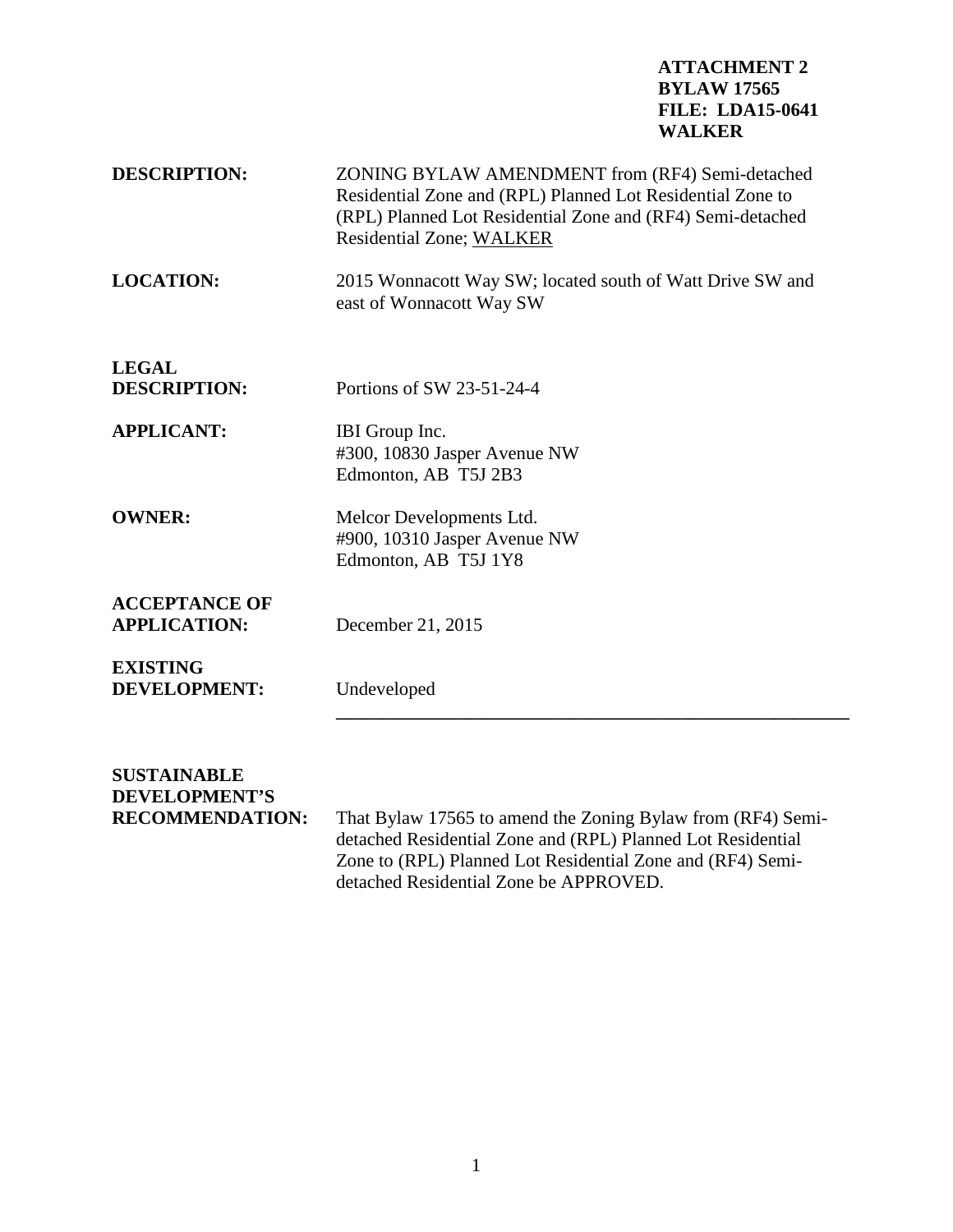## **ATTACHMENT 2 BYLAW 17565 FILE: LDA15-0641 WALKER**

| <b>DESCRIPTION:</b>                         | ZONING BYLAW AMENDMENT from (RF4) Semi-detached<br>Residential Zone and (RPL) Planned Lot Residential Zone to<br>(RPL) Planned Lot Residential Zone and (RF4) Semi-detached<br><b>Residential Zone; WALKER</b> |
|---------------------------------------------|----------------------------------------------------------------------------------------------------------------------------------------------------------------------------------------------------------------|
| <b>LOCATION:</b>                            | 2015 Wonnacott Way SW; located south of Watt Drive SW and<br>east of Wonnacott Way SW                                                                                                                          |
| <b>LEGAL</b>                                |                                                                                                                                                                                                                |
| <b>DESCRIPTION:</b>                         | Portions of SW 23-51-24-4                                                                                                                                                                                      |
| <b>APPLICANT:</b>                           | IBI Group Inc.<br>#300, 10830 Jasper Avenue NW<br>Edmonton, AB T5J 2B3                                                                                                                                         |
| <b>OWNER:</b>                               | Melcor Developments Ltd.<br>#900, 10310 Jasper Avenue NW<br>Edmonton, AB T5J 1Y8                                                                                                                               |
| <b>ACCEPTANCE OF</b><br><b>APPLICATION:</b> | December 21, 2015                                                                                                                                                                                              |
| <b>EXISTING</b><br><b>DEVELOPMENT:</b>      | Undeveloped                                                                                                                                                                                                    |
|                                             |                                                                                                                                                                                                                |

**SUSTAINABLE DEVELOPMENT'S**

That Bylaw 17565 to amend the Zoning Bylaw from (RF4) Semidetached Residential Zone and (RPL) Planned Lot Residential Zone to (RPL) Planned Lot Residential Zone and (RF4) Semidetached Residential Zone be APPROVED.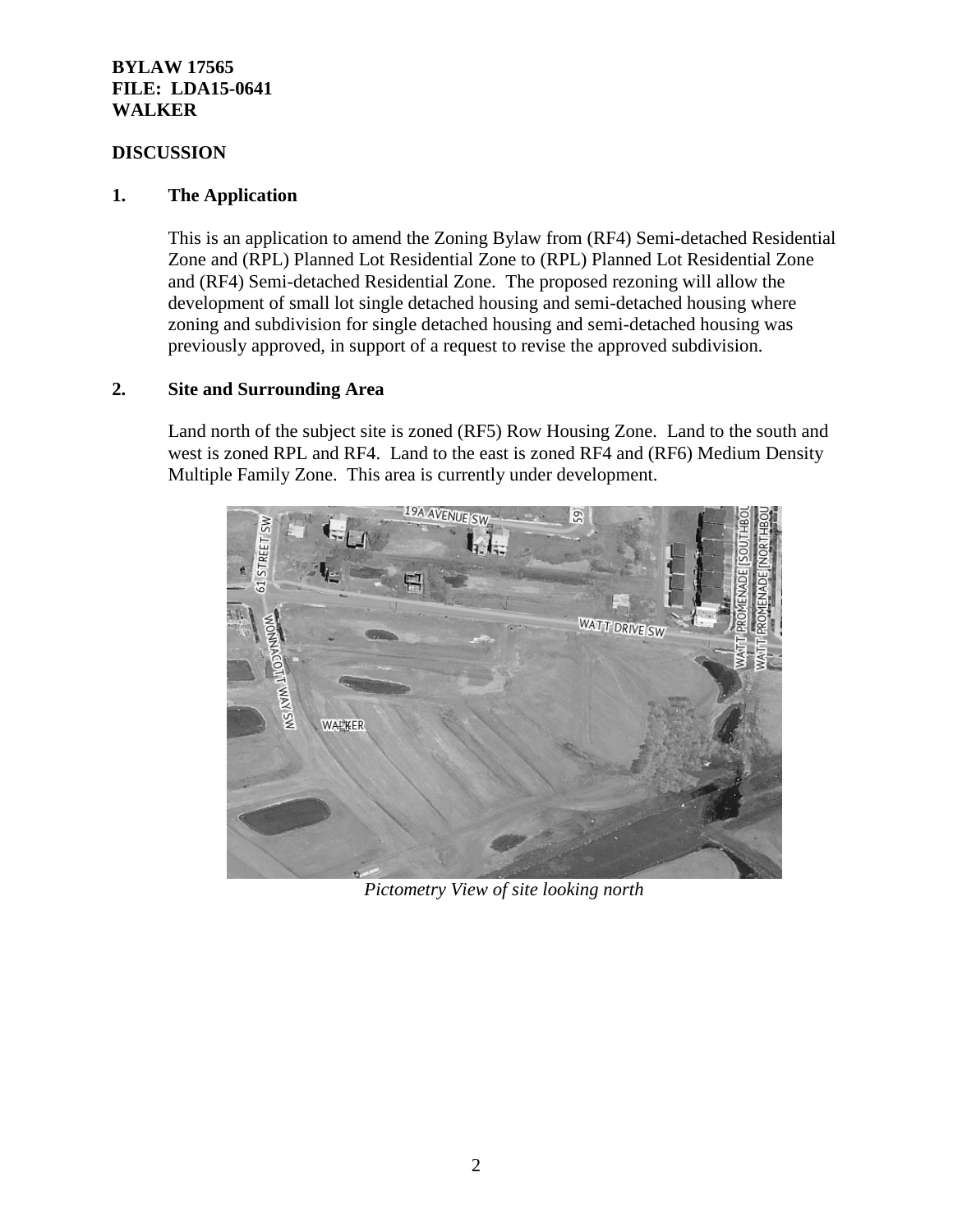## **BYLAW 17565 FILE: LDA15-0641 WALKER**

## **DISCUSSION**

## **1. The Application**

This is an application to amend the Zoning Bylaw from (RF4) Semi-detached Residential Zone and (RPL) Planned Lot Residential Zone to (RPL) Planned Lot Residential Zone and (RF4) Semi-detached Residential Zone. The proposed rezoning will allow the development of small lot single detached housing and semi-detached housing where zoning and subdivision for single detached housing and semi-detached housing was previously approved, in support of a request to revise the approved subdivision.

## **2. Site and Surrounding Area**

Land north of the subject site is zoned (RF5) Row Housing Zone. Land to the south and west is zoned RPL and RF4. Land to the east is zoned RF4 and (RF6) Medium Density Multiple Family Zone. This area is currently under development.



*Pictometry View of site looking north*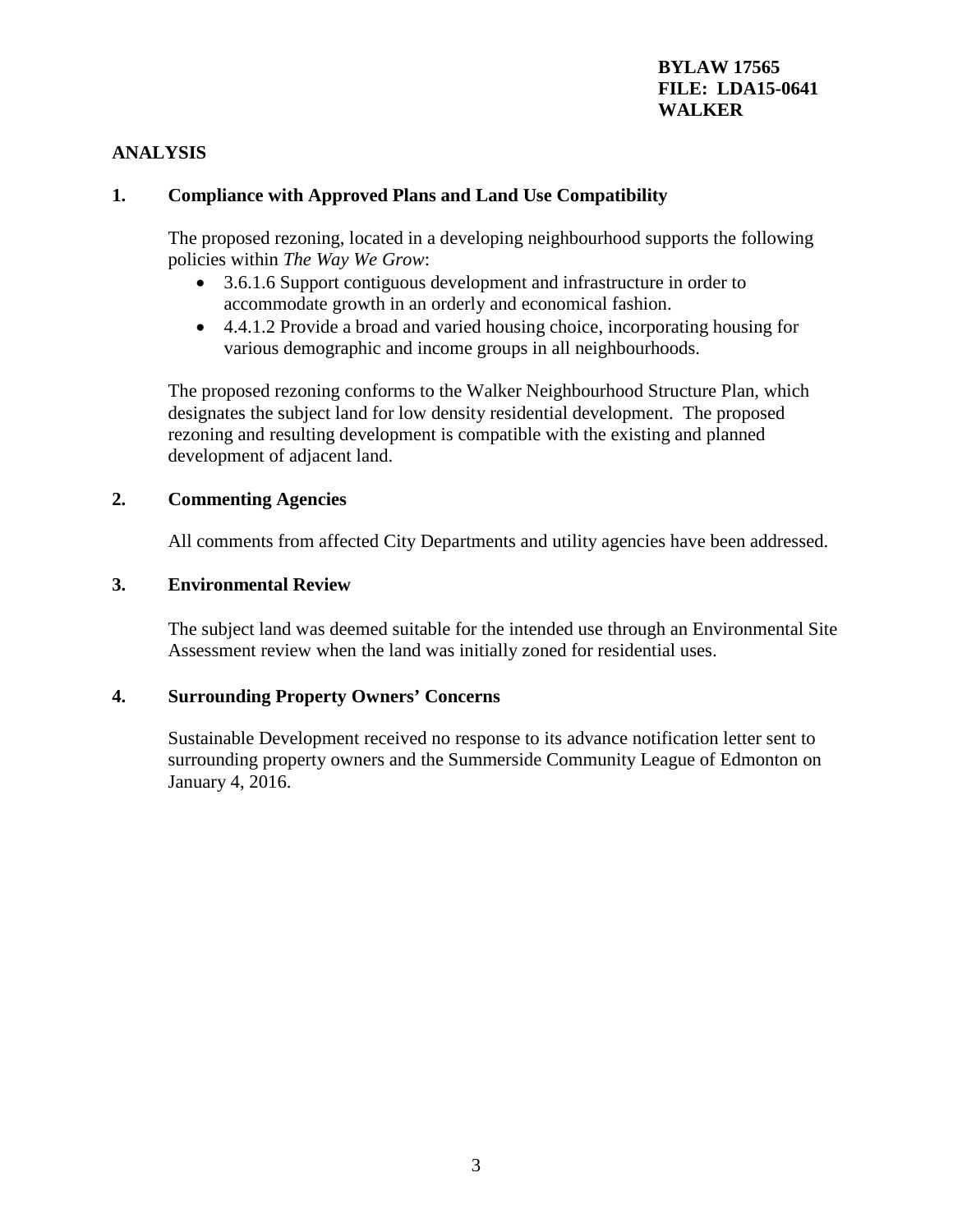## **BYLAW 17565 FILE: LDA15-0641 WALKER**

## **ANALYSIS**

## **1. Compliance with Approved Plans and Land Use Compatibility**

The proposed rezoning, located in a developing neighbourhood supports the following policies within *The Way We Grow*:

- 3.6.1.6 Support contiguous development and infrastructure in order to accommodate growth in an orderly and economical fashion.
- 4.4.1.2 Provide a broad and varied housing choice, incorporating housing for various demographic and income groups in all neighbourhoods.

The proposed rezoning conforms to the Walker Neighbourhood Structure Plan, which designates the subject land for low density residential development. The proposed rezoning and resulting development is compatible with the existing and planned development of adjacent land.

#### **2. Commenting Agencies**

All comments from affected City Departments and utility agencies have been addressed.

#### **3. Environmental Review**

The subject land was deemed suitable for the intended use through an Environmental Site Assessment review when the land was initially zoned for residential uses.

#### **4. Surrounding Property Owners' Concerns**

Sustainable Development received no response to its advance notification letter sent to surrounding property owners and the Summerside Community League of Edmonton on January 4, 2016.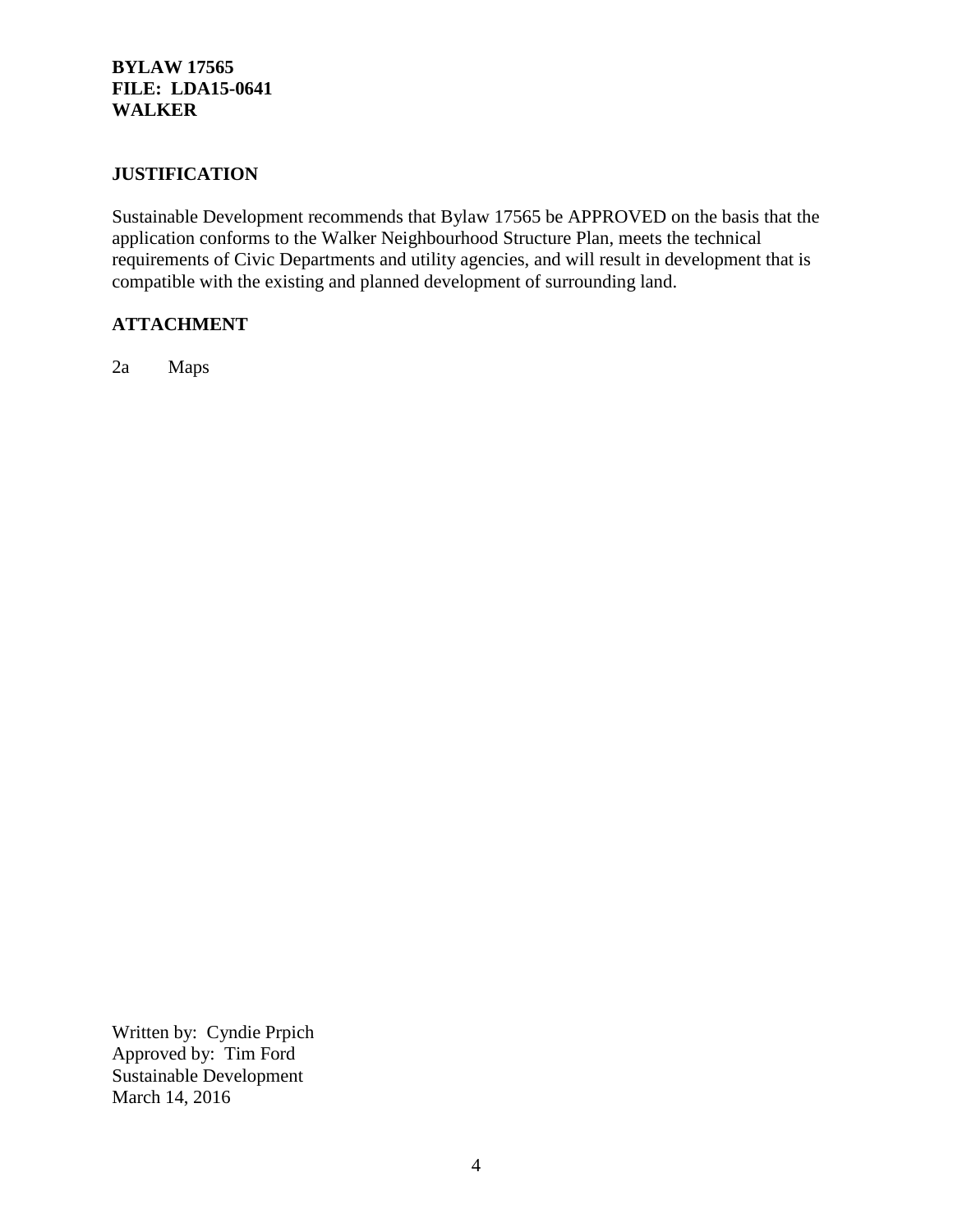## **BYLAW 17565 FILE: LDA15-0641 WALKER**

## **JUSTIFICATION**

Sustainable Development recommends that Bylaw 17565 be APPROVED on the basis that the application conforms to the Walker Neighbourhood Structure Plan, meets the technical requirements of Civic Departments and utility agencies, and will result in development that is compatible with the existing and planned development of surrounding land.

## **ATTACHMENT**

2a Maps

Written by: Cyndie Prpich Approved by: Tim Ford Sustainable Development March 14, 2016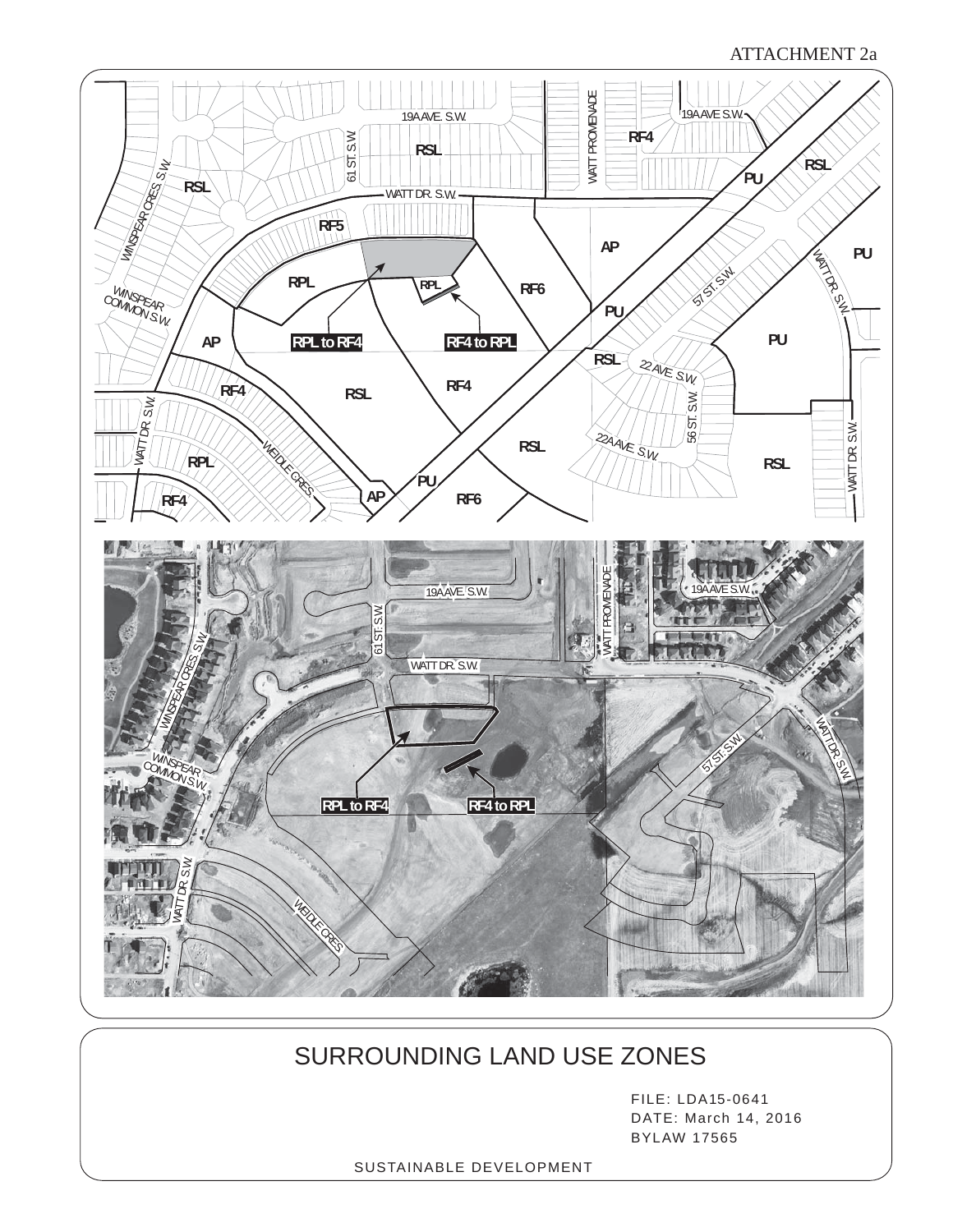#### ATTACHMENT 2a



# SURROUNDING LAND USE ZONES

FILE: LDA15-0641 DATE: March 14, 2016 BYLAW 17565

SUSTAINABLE DEVELOPMENT